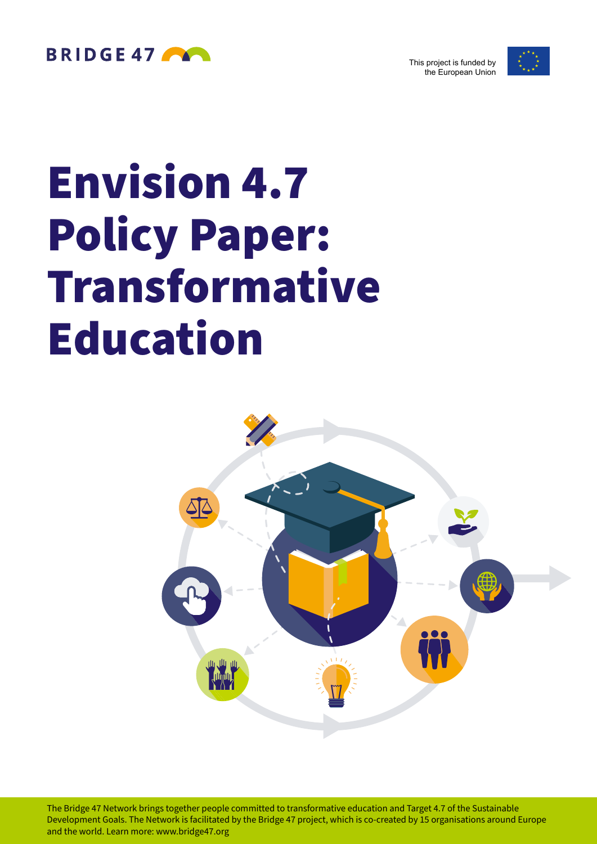

This project is funded by the European Union



# Envision 4.7 Policy Paper: Transformative Education



The Bridge 47 Network brings together people committed to transformative education and Target 4.7 of the Sustainable Development Goals. The Network is facilitated by the Bridge 47 project, which is co-created by 15 organisations around Europe and the world. Learn more: [www.bridge47.org](http://www.bridge47.org)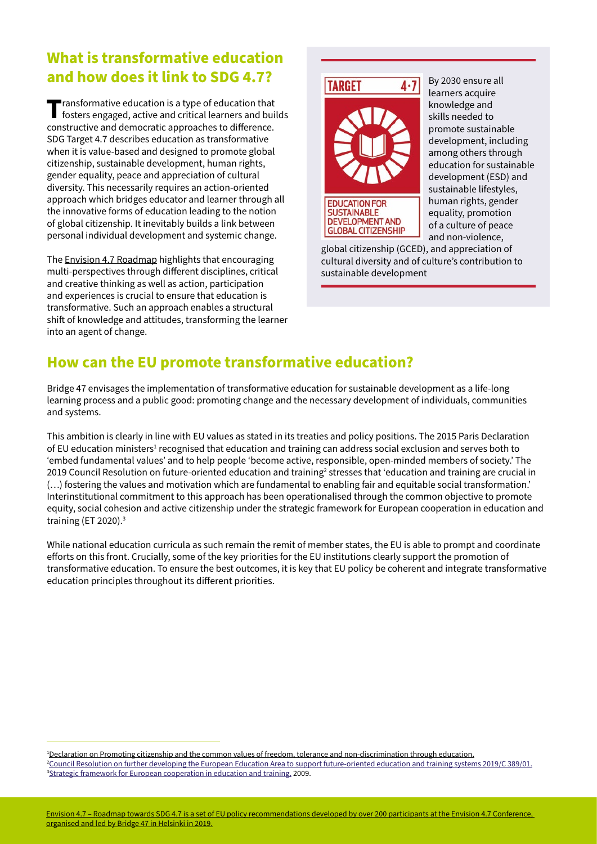## **What is transformative education and how does it link to SDG 4.7?**

**The Transformative education is a type of education that fosters engaged, active and critical learners and builds continuative and democration processes and builds** constructive and democratic approaches to difference. SDG Target 4.7 describes education as transformative when it is value-based and designed to promote global citizenship, sustainable development, human rights, gender equality, peace and appreciation of cultural diversity. This necessarily requires an action-oriented approach which bridges educator and learner through all the innovative forms of education leading to the notion of global citizenship. It inevitably builds a link between personal individual development and systemic change.

The [Envision 4.7 Roadmap](https://www.bridge47.org/sites/default/files/2019-11/envision_4.7_roadmap.pdf) highlights that encouraging multi-perspectives through different disciplines, critical and creative thinking as well as action, participation and experiences is crucial to ensure that education is transformative. Such an approach enables a structural shift of knowledge and attitudes, transforming the learner into an agent of change.



**GLOBAL CITIZENSHIP** 

By 2030 ensure all learners acquire knowledge and skills needed to promote sustainable development, including among others through education for sustainable development (ESD) and sustainable lifestyles, human rights, gender equality, promotion of a culture of peace and non-violence,

global citizenship (GCED), and appreciation of cultural diversity and of culture's contribution to sustainable development

### **How can the EU promote transformative education?**

Bridge 47 envisages the implementation of transformative education for sustainable development as a life-long learning process and a public good: promoting change and the necessary development of individuals, communities and systems.

This ambition is clearly in line with EU values as stated in its treaties and policy positions. The 2015 Paris Declaration of EU education ministers<sup>1</sup> recognised that education and training can address social exclusion and serves both to 'embed fundamental values' and to help people 'become active, responsible, open-minded members of society.' The 2019 Council Resolution on future-oriented education and training $^2$  stresses that 'education and training are crucial in (…) fostering the values and motivation which are fundamental to enabling fair and equitable social transformation.' Interinstitutional commitment to this approach has been operationalised through the common objective to promote equity, social cohesion and active citizenship under the strategic framework for European cooperation in education and training (ET 2020).3

While national education curricula as such remain the remit of member states, the EU is able to prompt and coordinate efforts on this front. Crucially, some of the key priorities for the EU institutions clearly support the promotion of transformative education. To ensure the best outcomes, it is key that EU policy be coherent and integrate transformative education principles throughout its different priorities.

1 [Declaration on Promoting citizenship and the common values of freedom, tolerance and non-discrimination through education.](https://ec.europa.eu/assets/eac/education/news/2015/documents/citizenship-education-declaration_en.pdf) 2 [Council Resolution on further developing the European Education Area to support future-oriented education and training systems 2019/C 389/01.](https://op.europa.eu/en/publication-detail/-/publication/9f1d16d1-09d1-11ea-8c1f-01aa75ed71a1/language-en/format-HTML/source-113947200) <sup>3</sup>[Strategic framework for European cooperation in education and training,](https://ec.europa.eu/education/policies/european-policy-cooperation/et2020-framework_en) 2009.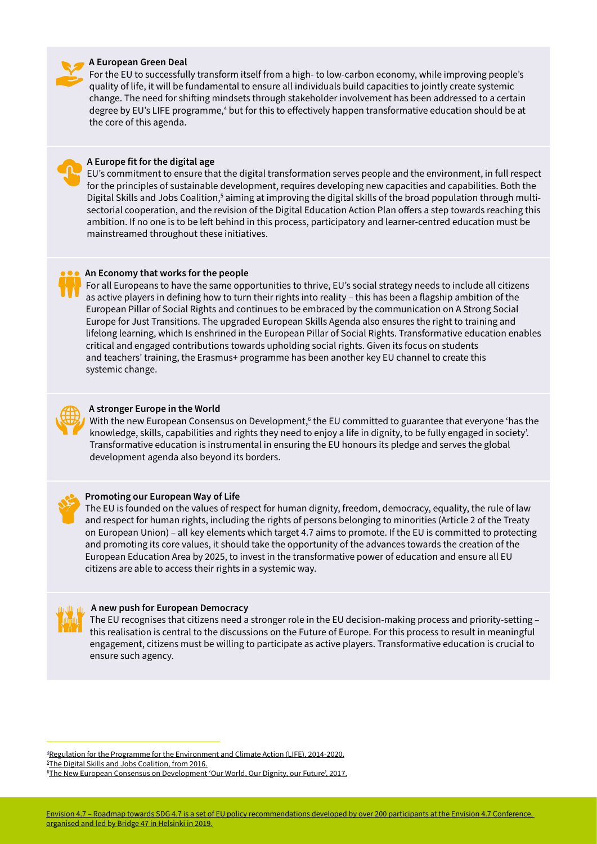#### **A European Green Deal**

For the EU to successfully transform itself from a high- to low-carbon economy, while improving people's quality of life, it will be fundamental to ensure all individuals build capacities to jointly create systemic change. The need for shifting mindsets through stakeholder involvement has been addressed to a certain degree by EU's LIFE programme,<sup>4</sup> but for this to effectively happen transformative education should be at the core of this agenda.



#### **A Europe fit for the digital age**

EU's commitment to ensure that the digital transformation serves people and the environment, in full respect for the principles of sustainable development, requires developing new capacities and capabilities. Both the Digital Skills and Jobs Coalition,<sup>5</sup> aiming at improving the digital skills of the broad population through multisectorial cooperation, and the revision of the Digital Education Action Plan offers a step towards reaching this ambition. If no one is to be left behind in this process, participatory and learner-centred education must be mainstreamed throughout these initiatives.



#### **An Economy that works for the people**

For all Europeans to have the same opportunities to thrive, EU's social strategy needs to include all citizens as active players in defining how to turn their rights into reality – this has been a flagship ambition of the European Pillar of Social Rights and continues to be embraced by the communication on A Strong Social Europe for Just Transitions. The upgraded European Skills Agenda also ensures the right to training and lifelong learning, which Is enshrined in the European Pillar of Social Rights. Transformative education enables critical and engaged contributions towards upholding social rights. Given its focus on students and teachers' training, the Erasmus+ programme has been another key EU channel to create this systemic change.



#### **A stronger Europe in the World**

With the new European Consensus on Development,<sup>6</sup> the EU committed to guarantee that everyone 'has the knowledge, skills, capabilities and rights they need to enjoy a life in dignity, to be fully engaged in society'. Transformative education is instrumental in ensuring the EU honours its pledge and serves the global development agenda also beyond its borders.



#### **Promoting our European Way of Life**

The EU is founded on the values of respect for human dignity, freedom, democracy, equality, the rule of law and respect for human rights, including the rights of persons belonging to minorities (Article 2 of the Treaty on European Union) – all key elements which target 4.7 aims to promote. If the EU is committed to protecting and promoting its core values, it should take the opportunity of the advances towards the creation of the European Education Area by 2025, to invest in the transformative power of education and ensure all EU citizens are able to access their rights in a systemic way.



#### **A new push for European Democracy**

The EU recognises that citizens need a stronger role in the EU decision-making process and priority-setting – this realisation is central to the discussions on the Future of Europe. For this process to result in meaningful engagement, citizens must be willing to participate as active players. Transformative education is crucial to ensure such agency.

4 [Regulation for the Programme for the Environment and Climate Action \(LIFE\), 2014-2020.](https://eur-lex.europa.eu/legal-content/EN/TXT/?uri=uriserv:OJ.L_.2013.347.01.0185.01.ENG) 5 [The Digital Skills and Jobs Coalition, from 2016.](https://ec.europa.eu/digital-single-market/en/digital-skills-jobs-coalition)

<sup>6</sup> [The New European Consensus on Development 'Our World, Our Dignity, our Future', 2017.](https://www.consilium.europa.eu/media/24004/european-consensus-on-development-2-june-2017-clean_final.pdf)